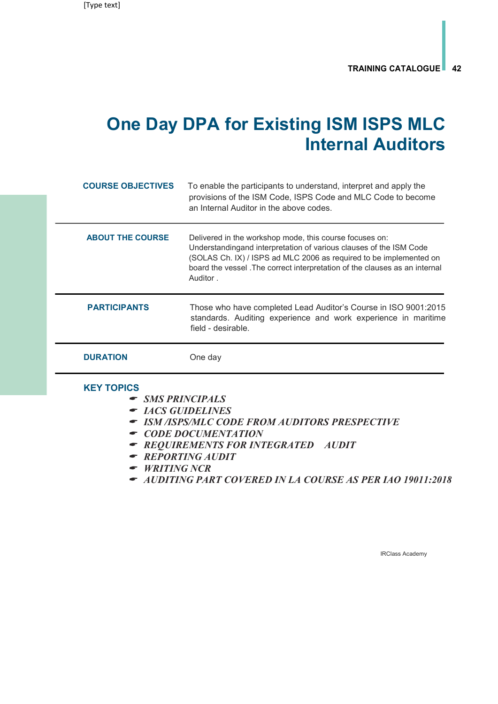## One Day DPA for Existing ISM ISPS MLC Internal Auditors

| <b>COURSE OBJECTIVES</b>                                                                                                                                                                                                         | To enable the participants to understand, interpret and apply the<br>provisions of the ISM Code, ISPS Code and MLC Code to become<br>an Internal Auditor in the above codes.                                                                                                                   |
|----------------------------------------------------------------------------------------------------------------------------------------------------------------------------------------------------------------------------------|------------------------------------------------------------------------------------------------------------------------------------------------------------------------------------------------------------------------------------------------------------------------------------------------|
| <b>ABOUT THE COURSE</b>                                                                                                                                                                                                          | Delivered in the workshop mode, this course focuses on:<br>Understandingand interpretation of various clauses of the ISM Code<br>(SOLAS Ch. IX) / ISPS ad MLC 2006 as required to be implemented on<br>board the vessel . The correct interpretation of the clauses as an internal<br>Auditor. |
| <b>PARTICIPANTS</b>                                                                                                                                                                                                              | Those who have completed Lead Auditor's Course in ISO 9001:2015<br>standards. Auditing experience and work experience in maritime<br>field - desirable.                                                                                                                                        |
| <b>DURATION</b>                                                                                                                                                                                                                  | One day                                                                                                                                                                                                                                                                                        |
| <b>KEY TOPICS</b><br>- SMS PRINCIPALS<br>- <b>IACS GUIDELINES</b><br>- ISM /ISPS/MLC CODE FROM AUDITORS PRESPECTIVE<br>CODE DOCUMENTATION<br>- REQUIREMENTS FOR INTEGRATED AUDIT<br><b>REPORTING AUDIT</b><br><b>WRITING NCR</b> |                                                                                                                                                                                                                                                                                                |

AUDITING PART COVERED IN LA COURSE AS PER IAO 19011:2018

IRClass Academy